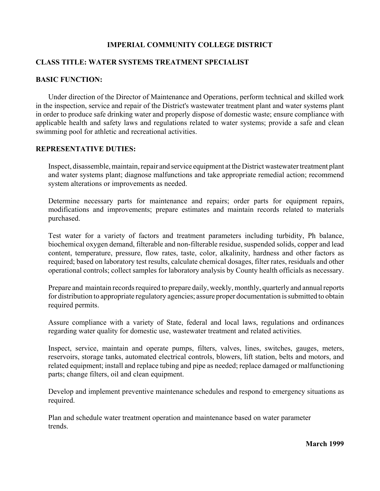## **IMPERIAL COMMUNITY COLLEGE DISTRICT**

## **CLASS TITLE: WATER SYSTEMS TREATMENT SPECIALIST**

## **BASIC FUNCTION:**

Under direction of the Director of Maintenance and Operations, perform technical and skilled work in the inspection, service and repair of the District's wastewater treatment plant and water systems plant in order to produce safe drinking water and properly dispose of domestic waste; ensure compliance with applicable health and safety laws and regulations related to water systems; provide a safe and clean swimming pool for athletic and recreational activities.

#### **REPRESENTATIVE DUTIES:**

Inspect, disassemble, maintain, repair and service equipment at the District wastewater treatment plant and water systems plant; diagnose malfunctions and take appropriate remedial action; recommend system alterations or improvements as needed.

Determine necessary parts for maintenance and repairs; order parts for equipment repairs, modifications and improvements; prepare estimates and maintain records related to materials purchased.

Test water for a variety of factors and treatment parameters including turbidity, Ph balance, biochemical oxygen demand, filterable and non-filterable residue, suspended solids, copper and lead content, temperature, pressure, flow rates, taste, color, alkalinity, hardness and other factors as required; based on laboratory test results, calculate chemical dosages, filter rates, residuals and other operational controls; collect samples for laboratory analysis by County health officials as necessary.

Prepare and maintain records required to prepare daily, weekly, monthly, quarterly and annual reports for distribution to appropriate regulatory agencies; assure proper documentation is submitted to obtain required permits.

Assure compliance with a variety of State, federal and local laws, regulations and ordinances regarding water quality for domestic use, wastewater treatment and related activities.

Inspect, service, maintain and operate pumps, filters, valves, lines, switches, gauges, meters, reservoirs, storage tanks, automated electrical controls, blowers, lift station, belts and motors, and related equipment; install and replace tubing and pipe as needed; replace damaged or malfunctioning parts; change filters, oil and clean equipment.

Develop and implement preventive maintenance schedules and respond to emergency situations as required.

Plan and schedule water treatment operation and maintenance based on water parameter trends.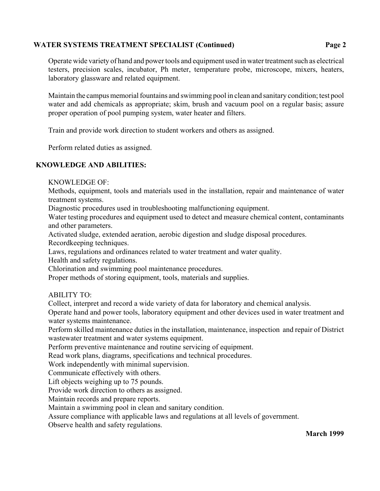# **WATER SYSTEMS TREATMENT SPECIALIST (Continued) Page 2**

Operate wide variety of hand and power tools and equipment used in water treatment such as electrical testers, precision scales, incubator, Ph meter, temperature probe, microscope, mixers, heaters, laboratory glassware and related equipment.

Maintain the campus memorial fountains and swimming pool in clean and sanitary condition; test pool water and add chemicals as appropriate; skim, brush and vacuum pool on a regular basis; assure proper operation of pool pumping system, water heater and filters.

Train and provide work direction to student workers and others as assigned.

Perform related duties as assigned.

# **KNOWLEDGE AND ABILITIES:**

KNOWLEDGE OF:

Methods, equipment, tools and materials used in the installation, repair and maintenance of water treatment systems.

Diagnostic procedures used in troubleshooting malfunctioning equipment.

Water testing procedures and equipment used to detect and measure chemical content, contaminants and other parameters.

Activated sludge, extended aeration, aerobic digestion and sludge disposal procedures.

Recordkeeping techniques.

Laws, regulations and ordinances related to water treatment and water quality.

Health and safety regulations.

Chlorination and swimming pool maintenance procedures.

Proper methods of storing equipment, tools, materials and supplies.

ABILITY TO:

Collect, interpret and record a wide variety of data for laboratory and chemical analysis.

Operate hand and power tools, laboratory equipment and other devices used in water treatment and water systems maintenance.

Perform skilled maintenance duties in the installation, maintenance, inspection and repair of District wastewater treatment and water systems equipment.

Perform preventive maintenance and routine servicing of equipment.

Read work plans, diagrams, specifications and technical procedures.

Work independently with minimal supervision.

Communicate effectively with others.

Lift objects weighing up to 75 pounds.

Provide work direction to others as assigned.

Maintain records and prepare reports.

Maintain a swimming pool in clean and sanitary condition.

Assure compliance with applicable laws and regulations at all levels of government.

Observe health and safety regulations.